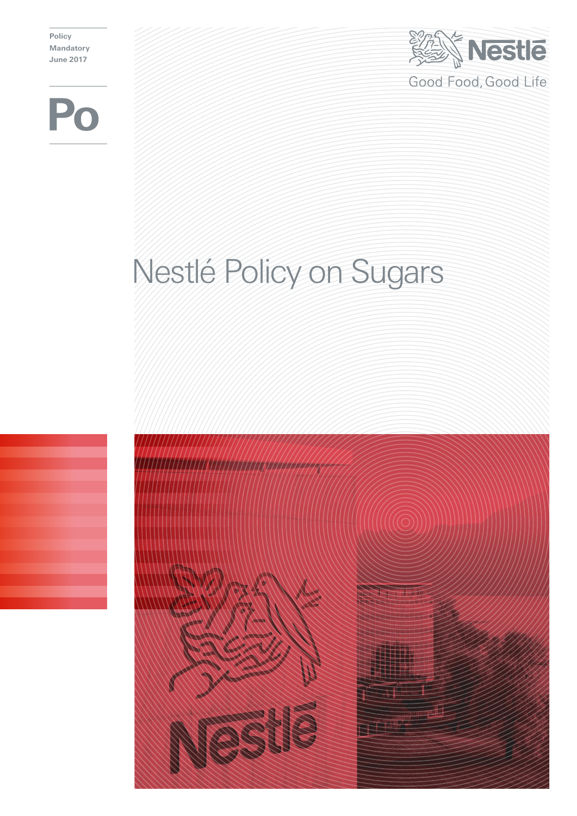**Policy Mandatory June 2017**



# Nestlé Policy on Sugars

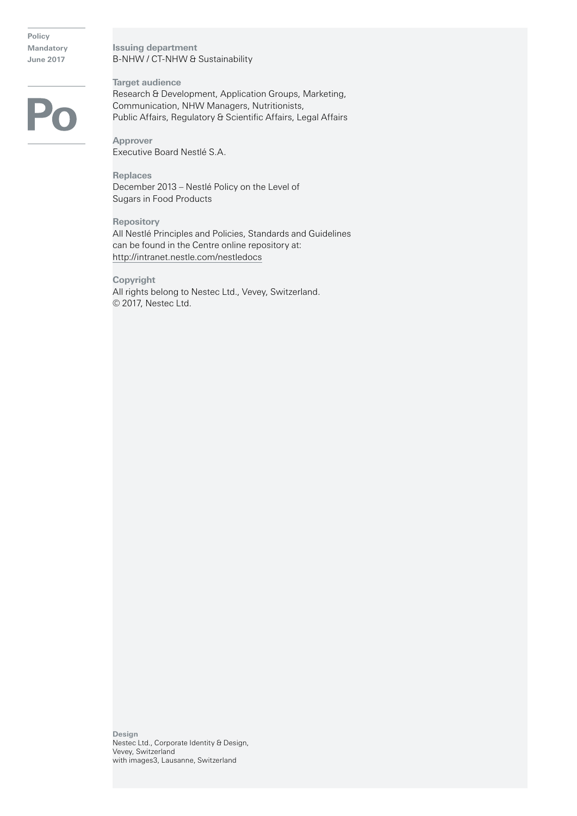**Policy Mandatory June 2017**

**Issuing department** B-NHW / CT-NHW & Sustainability

**Target audience** Research & Development, Application Groups, Marketing, Communication, NHW Managers, Nutritionists, Public Affairs, Regulatory & Scientific Affairs, Legal Affairs

**Approver** Executive Board Nestlé S.A.

**Replaces** December 2013 – Nestlé Policy on the Level of Sugars in Food Products

**Repository** All Nestlé Principles and Policies, Standards and Guidelines can be found in the Centre online repository at: http://intranet.nestle.com/nestledocs

**Copyright** All rights belong to Nestec Ltd., Vevey, Switzerland. © 2017, Nestec Ltd.

**Design** Nestec Ltd., Corporate Identity & Design, Vevey, Switzerland with images3, Lausanne, Switzerland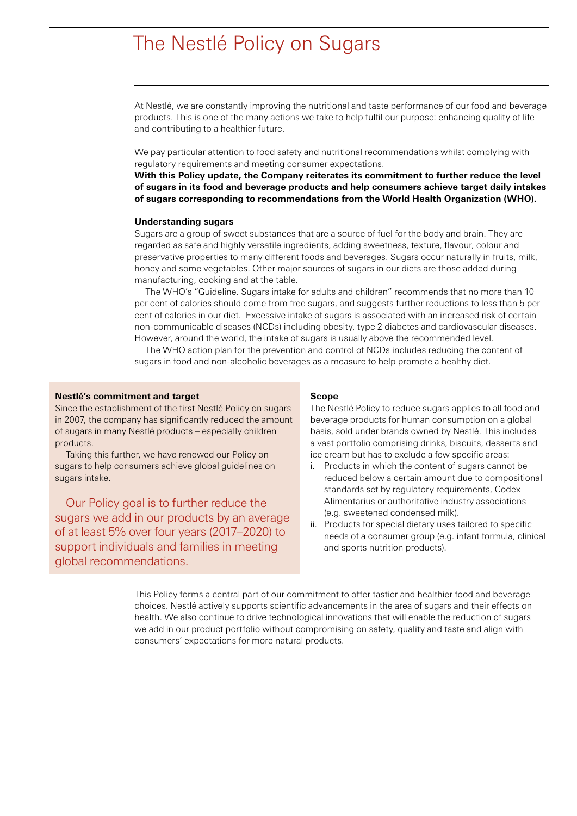## The Nestlé Policy on Sugars

At Nestlé, we are constantly improving the nutritional and taste performance of our food and beverage products. This is one of the many actions we take to help fulfil our purpose: enhancing quality of life and contributing to a healthier future.

We pay particular attention to food safety and nutritional recommendations whilst complying with regulatory requirements and meeting consumer expectations.

**With this Policy update, the Company reiterates its commitment to further reduce the level of sugars in its food and beverage products and help consumers achieve target daily intakes of sugars corresponding to recommendations from the World Health Organization (WHO).**

#### **Understanding sugars**

Sugars are a group of sweet substances that are a source of fuel for the body and brain. They are regarded as safe and highly versatile ingredients, adding sweetness, texture, flavour, colour and preservative properties to many different foods and beverages. Sugars occur naturally in fruits, milk, honey and some vegetables. Other major sources of sugars in our diets are those added during manufacturing, cooking and at the table.

The WHO's "Guideline. Sugars intake for adults and children" recommends that no more than 10 per cent of calories should come from free sugars, and suggests further reductions to less than 5 per cent of calories in our diet. Excessive intake of sugars is associated with an increased risk of certain non-communicable diseases (NCDs) including obesity, type 2 diabetes and cardiovascular diseases. However, around the world, the intake of sugars is usually above the recommended level.

The WHO action plan for the prevention and control of NCDs includes reducing the content of sugars in food and non-alcoholic beverages as a measure to help promote a healthy diet.

### **Nestlé's commitment and target**

Since the establishment of the first Nestlé Policy on sugars in 2007, the company has significantly reduced the amount of sugars in many Nestlé products – especially children products.

Taking this further, we have renewed our Policy on sugars to help consumers achieve global guidelines on sugars intake.

Our Policy goal is to further reduce the sugars we add in our products by an average of at least 5% over four years (2017–2020) to support individuals and families in meeting global recommendations.

#### **Scope**

The Nestlé Policy to reduce sugars applies to all food and beverage products for human consumption on a global basis, sold under brands owned by Nestlé. This includes a vast portfolio comprising drinks, biscuits, desserts and ice cream but has to exclude a few specific areas:

- i. Products in which the content of sugars cannot be reduced below a certain amount due to compositional standards set by regulatory requirements, Codex Alimentarius or authoritative industry associations (e.g. sweetened condensed milk).
- ii. Products for special dietary uses tailored to specific needs of a consumer group (e.g. infant formula, clinical and sports nutrition products).

This Policy forms a central part of our commitment to offer tastier and healthier food and beverage choices. Nestlé actively supports scientific advancements in the area of sugars and their effects on health. We also continue to drive technological innovations that will enable the reduction of sugars we add in our product portfolio without compromising on safety, quality and taste and align with consumers' expectations for more natural products.